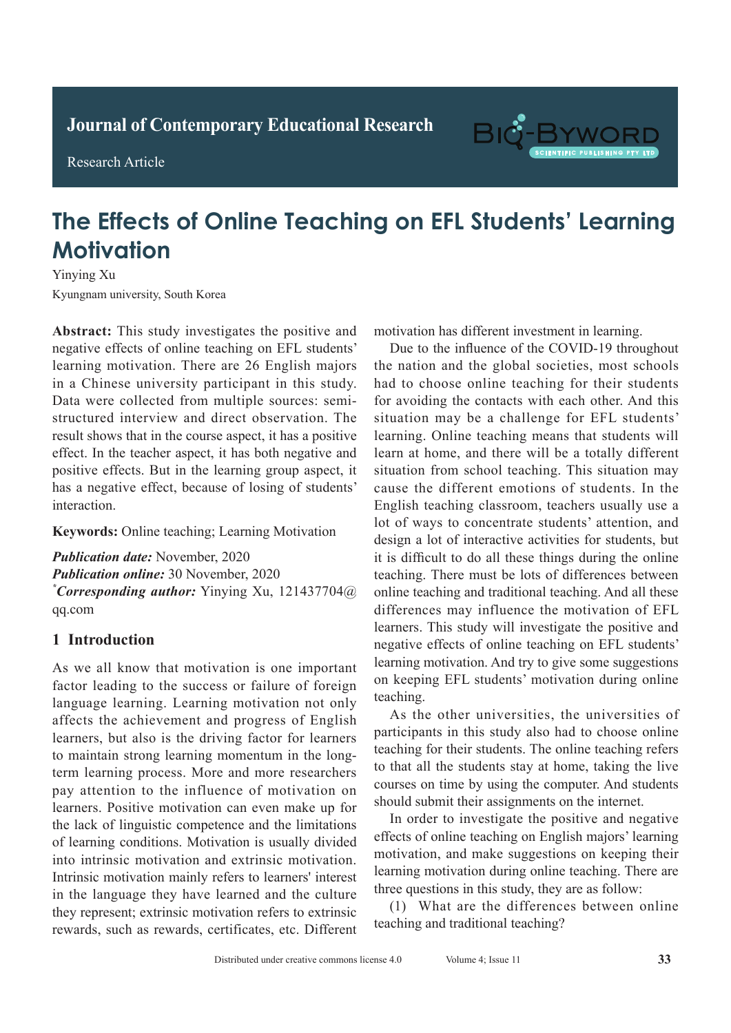**Journal of Clinical and Nursing Research Journal of Contemporary Educational Research**

**Research Article** 

Research Article



# **The Effects of Online Teaching on EFL Students' Learning Diagnostic Value of Spiral CT Chest Enhanced Scan in Active Contract Enhanced Scan in Active Contract Enhanced Scan in Active Contract Enhanced Scan in Active Contract Enhanced Scan in Active Contract Enhanced Scan in Act**

Yinying Xu Kyungnam university, South Korea **A**  $\frac{1}{2}$  **A**  $\frac{1}{2}$  **Pulmonary Tuberculosis** 

Abstract: This study investigates the positive and negative effects of online teaching on EFL students' learning motivation. There are 26 English majors in a Chinese university participant in this study. Data were collected from multiple sources: semistructured interview and direct observation. The result shows that in the course aspect, it has a positive effect. In the teacher aspect, it has both negative and positive effects. But in the learning group aspect, it has a negative effect, because of losing of students' interaction.

Keywords: Online teaching; Learning Motivation **Pathological results:**  $\frac{1}{2}$ 

Publication date: November, 2020 **Publication online:** 30 November, 2020 *\*Corresponding author: Yinying Xu, 121437704@*  $\frac{1}{\sqrt{2}}$  detection rate of spiral comparison rate of spiral CT enhanced scans constant scans constant of spiral constant  $\frac{1}{\sqrt{2}}$  enhanced scans constant of spiral constant of spiral constant of spiral constant of  $f_{11}$ qq.com rate of 92.00% (*P*>0.05) in the conventional chest

#### **1 Introduction** for the tuberculous in special sites was 100.000 was 100.000 was 100.000 was 100.000 was 100.000 was 100.000 was 100.000 was 100.000 was 100.000 was 100.000 was 100.000 was 100.000 was 100.000 was 100.000 was 100.000 was 1

chest X-ray of 7.69%, and the accuracy rate of active As we all know that motivation is one important factor leading to the success or failure of foreign language learning. Learning motivation not only affects the achievement and progress of English learners, but also is the driving factor for learners to maintain strong learning momentum in the longterm learning process. More and more researchers pay attention to the influence of motivation on the lack of linguistic competence and the limitations of learning conditions. Motivation is usually divided into intrinsic motivation and extrinsic motivation. Intrinsic motivation mainly refers to learners' interest in the language they have learned and the culture *h* we represent; extrinsic motivation refers to extrinsic motivation refers to extrinsic rewards, such as rewards, certificates, etc. Different learners. Positive motivation can even make up for motivation has different investment in learning.

Due to the influence of the COVID-19 throughout the nation and the global societies, most schools had to choose online teaching for their students for avoiding the contacts with each other. And this situation may be a challenge for EFL students' learning. Online teaching means that students will learn at home, and there will be a totally different situation from school teaching. This situation may cause the different emotions of students. In the English teaching classroom, teachers usually use a lot of ways to concentrate students' attention, and design a lot of interactive activities for students, but it is difficult to do all these things during the online teaching. There must be lots of differences between online teaching and traditional teaching. And all these differences may influence the motivation of EFL learners. This study will investigate the positive and negative effects of online teaching on EFL students'  $\frac{d}{dx}$  learning motivation. And try to give some suggestions is widely used in the displace in the disease suggestions on keeping EFL students' motivation during online teaching. teaching.

As the other universities, the universities of participants in this study also had to choose online participants in ans state, also had to ensere sinner teaching for their students. The online teaching refers teading for their statents. The similar teading forces **1 Integrals** courses on time by using the computer. And students should submit their assignments on the internet. As the other universities, the universities of participants in this study also had to choose online teaching for their students. The online teaching refers to that all the students stay at home, taking the live

In order to investigate the positive and negative motivation, and make suggestions on keeping their learning motivation during online teaching. There are three questions in this study, they are as follow: Fourthly intervalsed warming emitted watering. There are effects of online teaching on English majors' learning

(1) What are the differences between online teaching and traditional teaching?  $\frac{1}{2}$   $\frac{1}{2}$   $\frac{1}{2}$   $\frac{1}{2}$   $\frac{1}{2}$   $\frac{1}{2}$   $\frac{1}{2}$  converses  $\frac{1}{2}$  converses  $\frac{1}{2}$  control  $\frac{1}{2}$  control  $\frac{1}{2}$  control  $\frac{1}{2}$  control  $\frac{1}{2}$  control  $\frac{1}{2}$  control  $\frac{1}{2}$  con teaching and traditional teaching?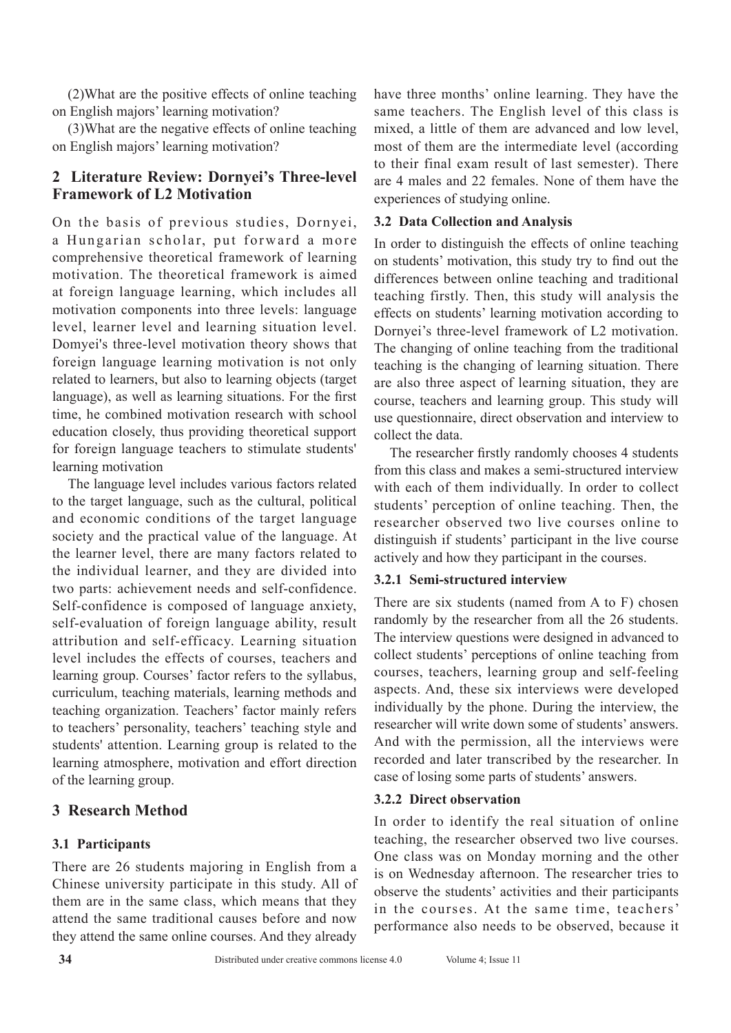(2)What are the positive effects of online teaching on English majors' learning motivation?

(3)What are the negative effects of online teaching on English majors' learning motivation?

# **2 Literature Review: Dornyei's Three-level Framework of L2 Motivation**

On the basis of previous studies, Dornyei, a Hungarian scholar, put forward a more comprehensive theoretical framework of learning motivation. The theoretical framework is aimed at foreign language learning, which includes all motivation components into three levels: language level, learner level and learning situation level. Domyei's three-level motivation theory shows that foreign language learning motivation is not only related to learners, but also to learning objects (target language), as well as learning situations. For the first time, he combined motivation research with school education closely, thus providing theoretical support for foreign language teachers to stimulate students' learning motivation

The language level includes various factors related to the target language, such as the cultural, political and economic conditions of the target language society and the practical value of the language. At the learner level, there are many factors related to the individual learner, and they are divided into two parts: achievement needs and self-confidence. Self-confidence is composed of language anxiety, self-evaluation of foreign language ability, result attribution and self-efficacy. Learning situation level includes the effects of courses, teachers and learning group. Courses' factor refers to the syllabus, curriculum, teaching materials, learning methods and teaching organization. Teachers' factor mainly refers to teachers' personality, teachers' teaching style and students' attention. Learning group is related to the learning atmosphere, motivation and effort direction of the learning group.

# **3 Research Method**

## **3.1 Participants**

There are 26 students majoring in English from a Chinese university participate in this study. All of them are in the same class, which means that they attend the same traditional causes before and now they attend the same online courses. And they already have three months' online learning. They have the same teachers. The English level of this class is mixed, a little of them are advanced and low level, most of them are the intermediate level (according to their final exam result of last semester). There are 4 males and 22 females. None of them have the experiences of studying online.

### **3.2 Data Collection and Analysis**

In order to distinguish the effects of online teaching on students' motivation, this study try to find out the differences between online teaching and traditional teaching firstly. Then, this study will analysis the effects on students' learning motivation according to Dornyei's three-level framework of L2 motivation. The changing of online teaching from the traditional teaching is the changing of learning situation. There are also three aspect of learning situation, they are course, teachers and learning group. This study will use questionnaire, direct observation and interview to collect the data.

The researcher firstly randomly chooses 4 students from this class and makes a semi-structured interview with each of them individually. In order to collect students' perception of online teaching. Then, the researcher observed two live courses online to distinguish if students' participant in the live course actively and how they participant in the courses.

## **3.2.1 Semi-structured interview**

There are six students (named from A to F) chosen randomly by the researcher from all the 26 students. The interview questions were designed in advanced to collect students' perceptions of online teaching from courses, teachers, learning group and self-feeling aspects. And, these six interviews were developed individually by the phone. During the interview, the researcher will write down some of students' answers. And with the permission, all the interviews were recorded and later transcribed by the researcher. In case of losing some parts of students' answers.

#### **3.2.2 Direct observation**

In order to identify the real situation of online teaching, the researcher observed two live courses. One class was on Monday morning and the other is on Wednesday afternoon. The researcher tries to observe the students' activities and their participants in the courses. At the same time, teachers' performance also needs to be observed, because it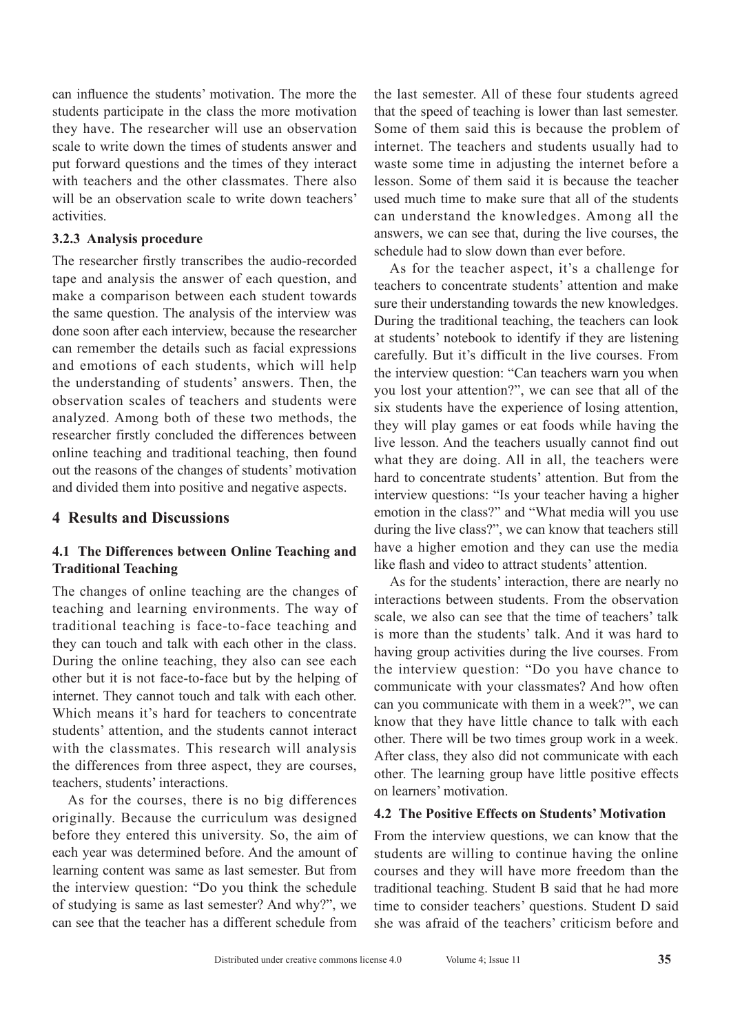can influence the students' motivation. The more the students participate in the class the more motivation they have. The researcher will use an observation scale to write down the times of students answer and put forward questions and the times of they interact with teachers and the other classmates. There also will be an observation scale to write down teachers' activities.

#### **3.2.3 Analysis procedure**

The researcher firstly transcribes the audio-recorded tape and analysis the answer of each question, and make a comparison between each student towards the same question. The analysis of the interview was done soon after each interview, because the researcher can remember the details such as facial expressions and emotions of each students, which will help the understanding of students' answers. Then, the observation scales of teachers and students were analyzed. Among both of these two methods, the researcher firstly concluded the differences between online teaching and traditional teaching, then found out the reasons of the changes of students' motivation and divided them into positive and negative aspects.

#### **4 Results and Discussions**

## **4.1 The Differences between Online Teaching and Traditional Teaching**

The changes of online teaching are the changes of teaching and learning environments. The way of traditional teaching is face-to-face teaching and they can touch and talk with each other in the class. During the online teaching, they also can see each other but it is not face-to-face but by the helping of internet. They cannot touch and talk with each other. Which means it's hard for teachers to concentrate students' attention, and the students cannot interact with the classmates. This research will analysis the differences from three aspect, they are courses, teachers, students' interactions.

As for the courses, there is no big differences originally. Because the curriculum was designed before they entered this university. So, the aim of each year was determined before. And the amount of learning content was same as last semester. But from the interview question: "Do you think the schedule of studying is same as last semester? And why?", we can see that the teacher has a different schedule from

the last semester. All of these four students agreed that the speed of teaching is lower than last semester. Some of them said this is because the problem of internet. The teachers and students usually had to waste some time in adjusting the internet before a lesson. Some of them said it is because the teacher used much time to make sure that all of the students can understand the knowledges. Among all the answers, we can see that, during the live courses, the schedule had to slow down than ever before.

As for the teacher aspect, it's a challenge for teachers to concentrate students' attention and make sure their understanding towards the new knowledges. During the traditional teaching, the teachers can look at students' notebook to identify if they are listening carefully. But it's difficult in the live courses. From the interview question: "Can teachers warn you when you lost your attention?", we can see that all of the six students have the experience of losing attention, they will play games or eat foods while having the live lesson. And the teachers usually cannot find out what they are doing. All in all, the teachers were hard to concentrate students' attention. But from the interview questions: "Is your teacher having a higher emotion in the class?" and "What media will you use during the live class?", we can know that teachers still have a higher emotion and they can use the media like flash and video to attract students' attention.

As for the students' interaction, there are nearly no interactions between students. From the observation scale, we also can see that the time of teachers' talk is more than the students' talk. And it was hard to having group activities during the live courses. From the interview question: "Do you have chance to communicate with your classmates? And how often can you communicate with them in a week?", we can know that they have little chance to talk with each other. There will be two times group work in a week. After class, they also did not communicate with each other. The learning group have little positive effects on learners' motivation.

#### **4.2 The Positive Effects on Students' Motivation**

From the interview questions, we can know that the students are willing to continue having the online courses and they will have more freedom than the traditional teaching. Student B said that he had more time to consider teachers' questions. Student D said she was afraid of the teachers' criticism before and